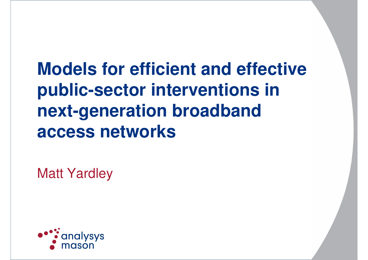**Models for efficient and effective public-sector interventions in next-generation broadband access networks**

Matt Yardley

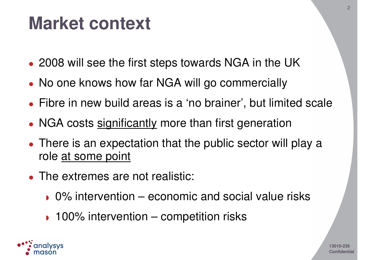#### **Market context**

- 2008 will see the first steps towards NGA in the UK
- No one knows how far NGA will go commercially
- Fibre in new build areas is <sup>a</sup> 'no brainer', but limited scale
- NGA costs significantly more than first generation
- There is an expectation that the public sector will play a role at some point
- The extremes are not realistic:
	- ◗ 0% intervention economic and social value risks
	- ◗ 100% intervention competition risks

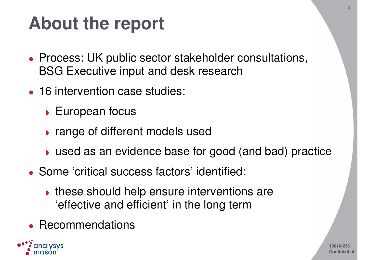## **About the report**

- Process: UK public sector stakeholder consultations, BSG Executive input and desk research
- 16 intervention case studies:
	- European focus
	- ◗ range of different models used
	- ◗ used as an evidence base for good (and bad) practice
- Some 'critical success factors' identified:
	- these should help ensure interventions are 'effective and efficient' in the long term
- $\bullet$ Recommendations

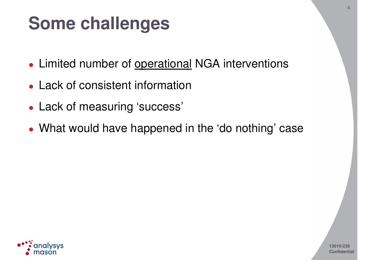## **Some challenges**

- **Limited number of operational NGA interventions**
- Lack of consistent information
- Lack of measuring 'success'
- What would have happened in the 'do nothing' case

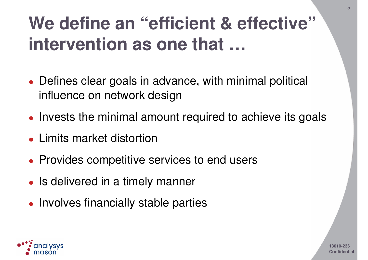# **We define an "efficient & effective" intervention as one that …**

5

- Defines clear goals in advance, with minimal political influence on network design
- Invests the minimal amount required to achieve its goals
- Limits market distortion
- **Provides competitive services to end users**
- Is delivered in a timely manner
- Involves financially stable parties

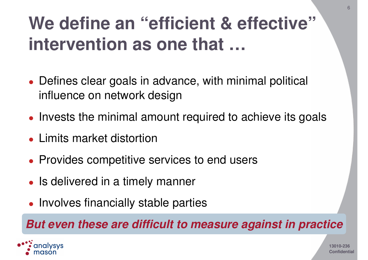# **We define an "efficient & effective" intervention as one that …**

- Defines clear goals in advance, with minimal political influence on network design
- Invests the minimal amount required to achieve its goals
- Limits market distortion
- **Provides competitive services to end users**
- Is delivered in a timely manner
- Involves financially stable parties

#### *But even these are difficult to measure against in practice*

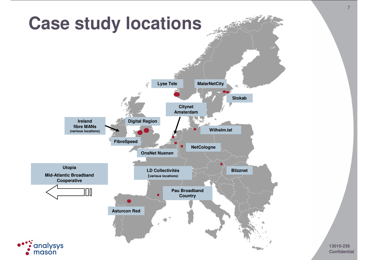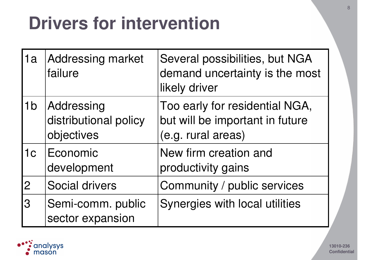## **Drivers for intervention**

| 1a             | Addressing market<br>failure                      | Several possibilities, but NGA<br>demand uncertainty is the most<br>likely driver       |
|----------------|---------------------------------------------------|-----------------------------------------------------------------------------------------|
| 1 <sub>b</sub> | Addressing<br>distributional policy<br>objectives | Too early for residential NGA,<br>but will be important in future<br>(e.g. rural areas) |
| 1c             | <b>Economic</b><br>development                    | New firm creation and<br>productivity gains                                             |
| $\overline{2}$ | <b>Social drivers</b>                             | Community / public services                                                             |
| 3              | Semi-comm. public<br>sector expansion             | Synergies with local utilities                                                          |

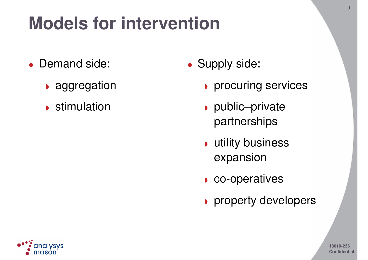# **Models for intervention**

- Demand side:
	- ◗ aggregation
	- ◗ stimulation
- Supply side:
	- ◗ procuring services
	- ◗ public–private partnerships
	- ◗ utility business expansion
	- ◗ co-operatives
	- ◗ property developers

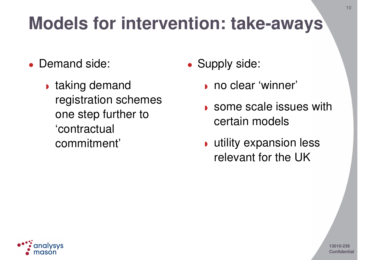# **Models for intervention: take-aways**

- Demand side:
	- ◗ taking demand registration schemes one step further to 'contractual commitment'
- Supply side:
	- ◗ no clear 'winner'
	- ◗ some scale issues with certain models
	- ◗ utility expansion less relevant for the UK

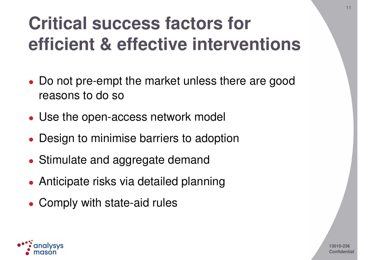# **Critical success factors for efficient & effective interventions**

11

- Do not pre-empt the market unless there are good reasons to do so
- Use the open-access network model
- Design to minimise barriers to adoption
- Stimulate and aggregate demand
- Anticipate risks via detailed planning
- Comply with state-aid rules

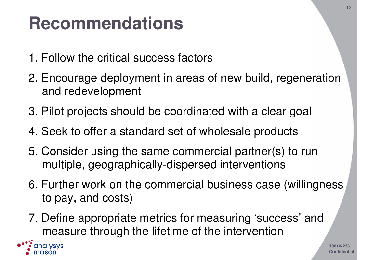#### **Recommendations**

- 1. Follow the critical success factors
- 2. Encourage deployment in areas of new build, regeneration and redevelopment
- 3. Pilot projects should be coordinated with <sup>a</sup> clear goal
- 4. Seek to offer <sup>a</sup> standard set of wholesale products
- 5. Consider using the same commercial partner(s) to run multiple, geographically-dispersed interventions
- 6. Further work on the commercial business case (willingness to pay, and costs)
- 7. Define appropriate metrics for measuring 'success' and measure through the lifetime of the intervention